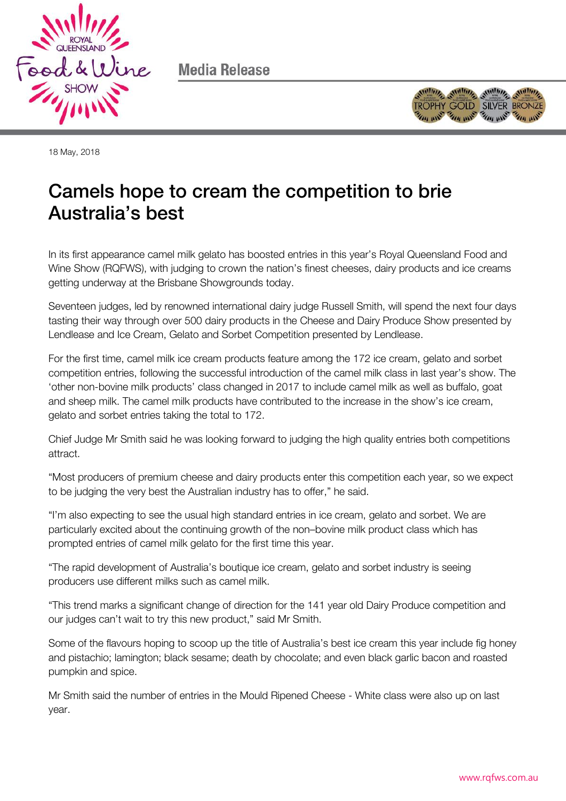

Media Release



18 May, 2018

# Camels hope to cream the competition to brie Australia's best

In its first appearance camel milk gelato has boosted entries in this year's Royal Queensland Food and Wine Show (RQFWS), with judging to crown the nation's finest cheeses, dairy products and ice creams getting underway at the Brisbane Showgrounds today.

Seventeen judges, led by renowned international dairy judge Russell Smith, will spend the next four days tasting their way through over 500 dairy products in the Cheese and Dairy Produce Show presented by Lendlease and Ice Cream, Gelato and Sorbet Competition presented by Lendlease.

For the first time, camel milk ice cream products feature among the 172 ice cream, gelato and sorbet competition entries, following the successful introduction of the camel milk class in last year's show. The 'other non-bovine milk products' class changed in 2017 to include camel milk as well as buffalo, goat and sheep milk. The camel milk products have contributed to the increase in the show's ice cream, gelato and sorbet entries taking the total to 172.

Chief Judge Mr Smith said he was looking forward to judging the high quality entries both competitions attract.

"Most producers of premium cheese and dairy products enter this competition each year, so we expect to be judging the very best the Australian industry has to offer," he said.

"I'm also expecting to see the usual high standard entries in ice cream, gelato and sorbet. We are particularly excited about the continuing growth of the non–bovine milk product class which has prompted entries of camel milk gelato for the first time this year.

"The rapid development of Australia's boutique ice cream, gelato and sorbet industry is seeing producers use different milks such as camel milk.

"This trend marks a significant change of direction for the 141 year old Dairy Produce competition and our judges can't wait to try this new product," said Mr Smith.

Some of the flavours hoping to scoop up the title of Australia's best ice cream this year include fig honey and pistachio; lamington; black sesame; death by chocolate; and even black garlic bacon and roasted pumpkin and spice.

Mr Smith said the number of entries in the Mould Ripened Cheese - White class were also up on last year.